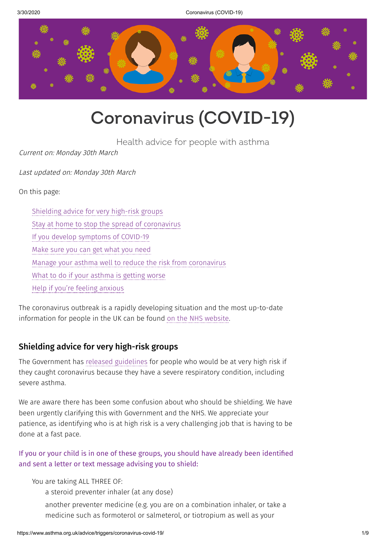3/30/2020 Coronavirus (COVID-19)



# **Coronavirus (COVID-19)**

Health advice for people with asthma

Current on: Monday 30th March

Last updated on: Monday 30th March

On this page:

[Shielding](#page-0-0) advice for very high-risk groups Stay at home to stop the spread of [coronavirus](#page-2-0) If you develop [symptoms](#page-2-1) of COVID-19 [Make](#page-3-0) sure you can get what you need Manage your asthma well to reduce the risk from [coronavirus](#page-3-1) What to do if your [asthma](#page-4-0) is getting worse Help if you're feeling [anxious](#page-4-1)

The coronavirus outbreak is a rapidly developing situation and the most up-to-date information for people in the UK can be found on the NHS [website](https://www.nhs.uk/conditions/coronavirus-covid-19/).

# <span id="page-0-0"></span>Shielding advice for very high-risk groups

The Government has released [guidelines](https://www.gov.uk/government/publications/guidance-on-shielding-and-protecting-extremely-vulnerable-persons-from-covid-19/guidance-on-shielding-and-protecting-extremely-vulnerable-persons-from-covid-19) for people who would be at very high risk if they caught coronavirus because they have a severe respiratory condition, including severe asthma.

We are aware there has been some confusion about who should be shielding. We have been urgently clarifying this with Government and the NHS. We appreciate your patience, as identifying who is at high risk is a very challenging job that is having to be done at a fast pace.

# If you or your child is in one of these groups, you should have already been identified and sent a letter or text message advising you to shield:

You are taking ALL THREE OF:

a steroid preventer inhaler (at any dose)

another preventer medicine (e.g. you are on a combination inhaler, or take a medicine such as formoterol or salmeterol, or tiotropium as well as your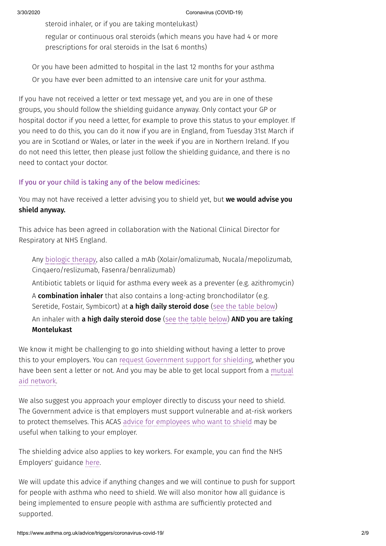steroid inhaler, or if you are taking montelukast)

regular or continuous oral steroids (which means you have had 4 or more prescriptions for oral steroids in the lsat 6 months)

Or you have been admitted to hospital in the last 12 months for your asthma Or you have ever been admitted to an intensive care unit for your asthma.

If you have not received a letter or text message yet, and you are in one of these groups, you should follow the shielding guidance anyway. Only contact your GP or hospital doctor if you need a letter, for example to prove this status to your employer. If you need to do this, you can do it now if you are in England, from Tuesday 31st March if you are in Scotland or Wales, or later in the week if you are in Northern Ireland. If you do not need this letter, then please just follow the shielding guidance, and there is no need to contact your doctor.

#### If you or your child is taking any of the below medicines:

You may not have received a letter advising you to shield yet, but we would advise you shield anyway.

This advice has been agreed in collaboration with the National Clinical Director for Respiratory at NHS England.

Any [biologic](https://www.asthma.org.uk/advice/severe-asthma/treating-severe-asthma/xolair-and-new-treatments/) therapy, also called a mAb (Xolair/omalizumab, Nucala/mepolizumab, Cinqaero/reslizumab, Fasenra/benralizumab)

Antibiotic tablets or liquid for asthma every week as a preventer (e.g. azithromycin)

A combination inhaler that also contains a long-acting bronchodilator (e.g. Seretide, Fostair, Symbicort) at a high daily steroid dose (see the table [below\)](#page-4-2) An inhaler with a high daily steroid dose (see the table [below\)](#page-4-2) AND you are taking Montelukast

We know it might be challenging to go into shielding without having a letter to prove this to your employers. You can request [Government](https://www.gov.uk/coronavirus-extremely-vulnerable) support for shielding, whether you have been sent a letter or not. And you may be able to get local support from a mutual aid [network.](https://covidmutualaid.org/local-groups/)

We also suggest you approach your employer directly to discuss your need to shield. The Government advice is that employers must support vulnerable and at-risk workers to protect themselves. This ACAS advice for [employees](https://www.acas.org.uk/coronavirus/vulnerable-people-and-high-risk) who want to shield may be useful when talking to your employer.

The shielding advice also applies to key workers. For example, you can find the NHS Employers' guidance [here.](https://www.nhsemployers.org/covid19/health-safety-and-wellbeing/supporting-our-most-vulnerable-people)

We will update this advice if anything changes and we will continue to push for support for people with asthma who need to shield. We will also monitor how all guidance is being implemented to ensure people with asthma are sufficiently protected and supported.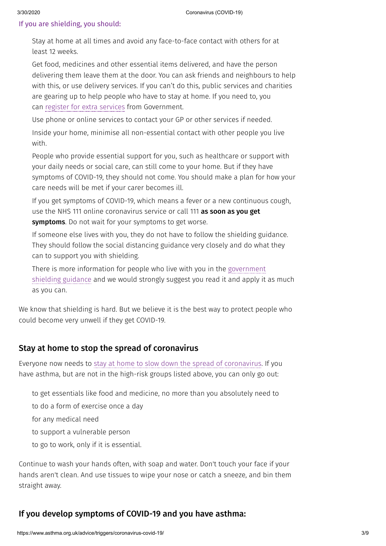#### If you are shielding, you should:

Stay at home at all times and avoid any face-to-face contact with others for at least 12 weeks.

Get food, medicines and other essential items delivered, and have the person delivering them leave them at the door. You can ask friends and neighbours to help with this, or use delivery services. If you can't do this, public services and charities are gearing up to help people who have to stay at home. If you need to, you can register for extra [services](https://www.gov.uk/coronavirus-extremely-vulnerable) from Government.

Use phone or online services to contact your GP or other services if needed. Inside your home, minimise all non-essential contact with other people you live with.

People who provide essential support for you, such as healthcare or support with your daily needs or social care, can still come to your home. But if they have symptoms of COVID-19, they should not come. You should make a plan for how your care needs will be met if your carer becomes ill.

If you get symptoms of COVID-19, which means a fever or a new continuous cough, use the NHS 111 online coronavirus service or call 111 as soon as you get symptoms. Do not wait for your symptoms to get worse.

If someone else lives with you, they do not have to follow the shielding guidance. They should follow the social distancing guidance very closely and do what they can to support you with shielding.

There is more information for people who live with you in the [government](https://www.gov.uk/government/publications/guidance-on-shielding-and-protecting-extremely-vulnerable-persons-from-covid-19/guidance-on-shielding-and-protecting-extremely-vulnerable-persons-from-covid-19) shielding guidance and we would strongly suggest you read it and apply it as much as you can.

We know that shielding is hard. But we believe it is the best way to protect people who could become very unwell if they get COVID-19.

## <span id="page-2-0"></span>Stay at home to stop the spread of coronavirus

Everyone now needs to stay at home to slow down the spread of [coronavirus.](https://www.gov.uk/coronavirus) If you have asthma, but are not in the high-risk groups listed above, you can only go out:

to get essentials like food and medicine, no more than you absolutely need to

to do a form of exercise once a day

for any medical need

to support a vulnerable person

to go to work, only if it is essential.

Continue to wash your hands often, with soap and water. Don't touch your face if your hands aren't clean. And use tissues to wipe your nose or catch a sneeze, and bin them straight away.

## <span id="page-2-1"></span>If you develop symptoms of COVID-19 and you have asthma: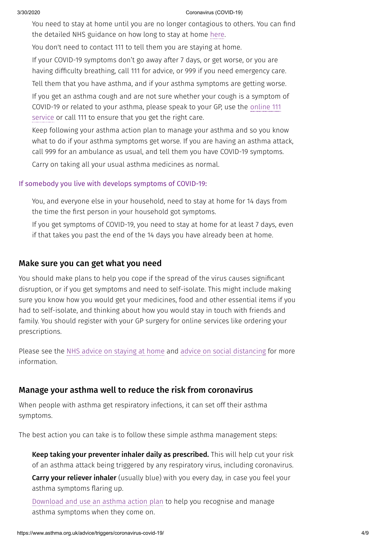#### 3/30/2020 Coronavirus (COVID-19)

You need to stay at home until you are no longer contagious to others. You can find the detailed NHS guidance on how long to stay at home [here](https://www.nhs.uk/conditions/coronavirus-covid-19/self-isolation-advice/).

You don't need to contact 111 to tell them you are staying at home.

If your COVID-19 symptoms don't go away after 7 days, or get worse, or you are having difficulty breathing, call 111 for advice, or 999 if you need emergency care.

Tell them that you have asthma, and if your asthma symptoms are getting worse.

If you get an asthma cough and are not sure whether your cough is a symptom of [COVID-19](https://111.nhs.uk/covid-19) or related to your asthma, please speak to your GP, use the online 111 service or call 111 to ensure that you get the right care.

Keep following your asthma action plan to manage your asthma and so you know what to do if your asthma symptoms get worse. If you are having an asthma attack, call 999 for an ambulance as usual, and tell them you have COVID-19 symptoms.

Carry on taking all your usual asthma medicines as normal.

#### If somebody you live with develops symptoms of COVID-19:

You, and everyone else in your household, need to stay at home for 14 days from the time the first person in your household got symptoms.

If you get symptoms of COVID-19, you need to stay at home for at least 7 days, even if that takes you past the end of the 14 days you have already been at home.

#### <span id="page-3-0"></span>Make sure you can get what you need

You should make plans to help you cope if the spread of the virus causes significant disruption, or if you get symptoms and need to self-isolate. This might include making sure you know how you would get your medicines, food and other essential items if you had to self-isolate, and thinking about how you would stay in touch with friends and family. You should register with your GP surgery for online services like ordering your prescriptions.

Please see the NHS advice on [staying](https://www.nhs.uk/conditions/coronavirus-covid-19/self-isolation-advice/) at home and advice on social [distancing](https://www.gov.uk/government/publications/covid-19-guidance-on-social-distancing-and-for-vulnerable-people/guidance-on-social-distancing-for-everyone-in-the-uk-and-protecting-older-people-and-vulnerable-adults) for more information.

#### <span id="page-3-1"></span>Manage your asthma well to reduce the risk from coronavirus

When people with asthma get respiratory infections, it can set off their asthma symptoms.

The best action you can take is to follow these simple asthma management steps:

Keep taking your preventer inhaler daily as prescribed. This will help cut your risk of an asthma attack being triggered by any respiratory virus, including coronavirus.

Carry your reliever inhaler (usually blue) with you every day, in case you feel your asthma symptoms flaring up.

[Download](https://www.asthma.org.uk/advice/manage-your-asthma/action-plan/) and use an asthma action plan to help you recognise and manage asthma symptoms when they come on.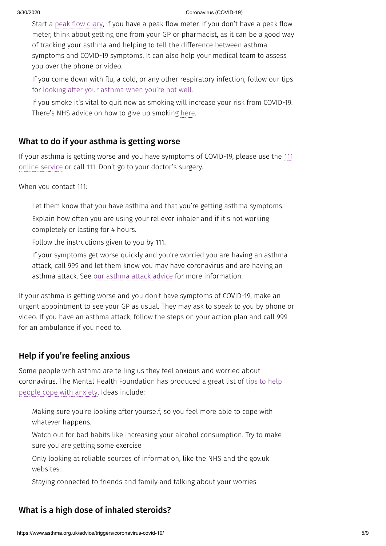Start a peak flow [diary,](https://www.asthma.org.uk/advice/manage-your-asthma/peak-flow/) if you have a peak flow meter. If you don't have a peak flow meter, think about getting one from your GP or pharmacist, as it can be a good way of tracking your asthma and helping to tell the difference between asthma symptoms and COVID-19 symptoms. It can also help your medical team to assess you over the phone or video.

If you come down with flu, a cold, or any other respiratory infection, follow our tips for looking after your [asthma](https://www.asthma.org.uk/advice/triggers/colds-and-flu/) when you're not well.

If you smoke it's vital to quit now as smoking will increase your risk from COVID-19. There's NHS advice on how to give up smoking [here](https://www.nhs.uk/live-well/quit-smoking/nhs-stop-smoking-services-help-you-quit/).

# <span id="page-4-0"></span>What to do if your asthma is getting worse

If your asthma is getting worse and you have [symptoms](https://111.nhs.uk/service/covid-19) of COVID-19, please use the 111 online service or call 111. Don't go to your doctor's surgery.

When you contact 111:

Let them know that you have asthma and that you're getting asthma symptoms.

Explain how often you are using your reliever inhaler and if it's not working completely or lasting for 4 hours.

Follow the instructions given to you by 111.

If your symptoms get worse quickly and you're worried you are having an asthma attack, call 999 and let them know you may have coronavirus and are having an asthma attack. See our [asthma](https://www.asthma.org.uk/advice/asthma-attacks/) attack advice for more information.

If your asthma is getting worse and you don't have symptoms of COVID-19, make an urgent appointment to see your GP as usual. They may ask to speak to you by phone or video. If you have an asthma attack, follow the steps on your action plan and call 999 for an ambulance if you need to.

# <span id="page-4-1"></span>Help if you're feeling anxious

Some people with asthma are telling us they feel anxious and worried about [coronavirus.](https://www.mentalhealth.org.uk/publications/looking-after-your-mental-health-during-coronavirus-outbreak) The Mental Health Foundation has produced a great list of tips to help people cope with anxiety. Ideas include:

Making sure you're looking after yourself, so you feel more able to cope with whatever happens.

Watch out for bad habits like increasing your alcohol consumption. Try to make sure you are getting some exercise

Only looking at reliable sources of information, like the NHS and the gov.uk websites.

Staying connected to friends and family and talking about your worries.

# <span id="page-4-2"></span>What is a high dose of inhaled steroids?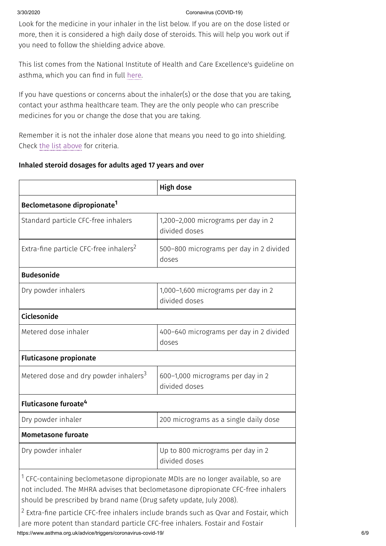#### 3/30/2020 Coronavirus (COVID-19)

Look for the medicine in your inhaler in the list below. If you are on the dose listed or more, then it is considered a high daily dose of steroids. This will help you work out if you need to follow the shielding advice above.

This list comes from the National Institute of Health and Care Excellence's guideline on asthma, which you can find in full [here.](https://www.nice.org.uk/guidance/ng80/resources/inhaled-corticosteroid-doses-pdf-4731528781)

If you have questions or concerns about the inhaler(s) or the dose that you are taking, contact your asthma healthcare team. They are the only people who can prescribe medicines for you or change the dose that you are taking.

Remember it is not the inhaler dose alone that means you need to go into shielding. Check the list [above](https://web.archive.org/web/20200327090123/https://www.asthma.org.uk/advice/triggers/coronavirus-covid-19/#Shielding) for criteria.

#### Inhaled steroid dosages for adults aged 17 years and over

|                                                                                                                                                                                                                                                        | <b>High dose</b>                                     |  |  |  |  |
|--------------------------------------------------------------------------------------------------------------------------------------------------------------------------------------------------------------------------------------------------------|------------------------------------------------------|--|--|--|--|
| Beclometasone dipropionate <sup>1</sup>                                                                                                                                                                                                                |                                                      |  |  |  |  |
| Standard particle CFC-free inhalers                                                                                                                                                                                                                    | 1,200-2,000 micrograms per day in 2<br>divided doses |  |  |  |  |
| Extra-fine particle CFC-free inhalers <sup>2</sup>                                                                                                                                                                                                     | 500-800 micrograms per day in 2 divided<br>doses     |  |  |  |  |
| <b>Budesonide</b>                                                                                                                                                                                                                                      |                                                      |  |  |  |  |
| Dry powder inhalers                                                                                                                                                                                                                                    | 1,000-1,600 micrograms per day in 2<br>divided doses |  |  |  |  |
| Ciclesonide                                                                                                                                                                                                                                            |                                                      |  |  |  |  |
| Metered dose inhaler                                                                                                                                                                                                                                   | 400-640 micrograms per day in 2 divided<br>doses     |  |  |  |  |
| <b>Fluticasone propionate</b>                                                                                                                                                                                                                          |                                                      |  |  |  |  |
| Metered dose and dry powder inhalers <sup>3</sup>                                                                                                                                                                                                      | 600-1,000 micrograms per day in 2<br>divided doses   |  |  |  |  |
| Fluticasone furoate <sup>4</sup>                                                                                                                                                                                                                       |                                                      |  |  |  |  |
| Dry powder inhaler                                                                                                                                                                                                                                     | 200 micrograms as a single daily dose                |  |  |  |  |
| <b>Mometasone furoate</b>                                                                                                                                                                                                                              |                                                      |  |  |  |  |
| Dry powder inhaler                                                                                                                                                                                                                                     | Up to 800 micrograms per day in 2<br>divided doses   |  |  |  |  |
| <sup>1</sup> CFC-containing beclometasone dipropionate MDIs are no longer available, so are<br>not included. The MHRA advises that beclometasone dipropionate CFC-free inhalers<br>should be prescribed by brand name (Drug safety update, July 2008). |                                                      |  |  |  |  |

https://www.asthma.org.uk/advice/triggers/coronavirus-covid-19/ 6/9  $2$  Extra-fine particle CFC-free inhalers include brands such as Qvar and Fostair, which are more potent than standard particle CFC-free inhalers. Fostair and Fostair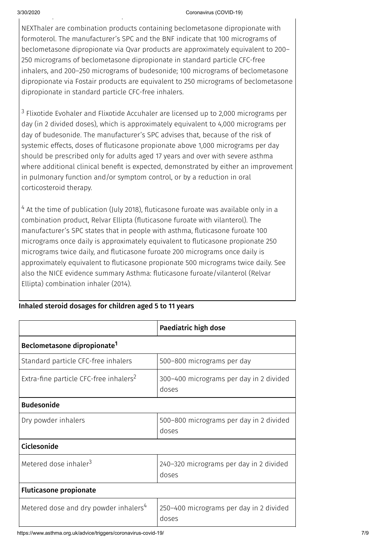p p

#### 3/30/2020 Coronavirus (COVID-19)

NEXThaler are combination products containing beclometasone dipropionate with formoterol. The manufacturer's SPC and the BNF indicate that 100 micrograms of beclometasone dipropionate via Qvar products are approximately equivalent to 200– 250 micrograms of beclometasone dipropionate in standard particle CFC-free inhalers, and 200–250 micrograms of budesonide; 100 micrograms of beclometasone dipropionate via Fostair products are equivalent to 250 micrograms of beclometasone dipropionate in standard particle CFC-free inhalers.

<sup>3</sup> Flixotide Evohaler and Flixotide Accuhaler are licensed up to 2,000 micrograms per day (in 2 divided doses), which is approximately equivalent to 4,000 micrograms per day of budesonide. The manufacturer's SPC advises that, because of the risk of systemic effects, doses of fluticasone propionate above 1,000 micrograms per day should be prescribed only for adults aged 17 years and over with severe asthma where additional clinical benefit is expected, demonstrated by either an improvement in pulmonary function and/or symptom control, or by a reduction in oral corticosteroid therapy.

 $4$  At the time of publication (July 2018), fluticasone furoate was available only in a combination product, Relvar Ellipta (fluticasone furoate with vilanterol). The manufacturer's SPC states that in people with asthma, fluticasone furoate 100 micrograms once daily is approximately equivalent to fluticasone propionate 250 micrograms twice daily, and fluticasone furoate 200 micrograms once daily is approximately equivalent to fluticasone propionate 500 micrograms twice daily. See also the NICE evidence summary Asthma: fluticasone furoate/vilanterol (Relvar Ellipta) combination inhaler (2014).

|                                                    | Paediatric high dose                             |  |  |  |  |
|----------------------------------------------------|--------------------------------------------------|--|--|--|--|
| Beclometasone dipropionate <sup>1</sup>            |                                                  |  |  |  |  |
| Standard particle CFC-free inhalers                | 500–800 micrograms per day                       |  |  |  |  |
| Extra-fine particle CFC-free inhalers <sup>2</sup> | 300–400 micrograms per day in 2 divided<br>doses |  |  |  |  |
| <b>Budesonide</b>                                  |                                                  |  |  |  |  |
| Dry powder inhalers                                | 500–800 micrograms per day in 2 divided<br>doses |  |  |  |  |
| Ciclesonide                                        |                                                  |  |  |  |  |
| Metered dose inhaler <sup>3</sup>                  | 240-320 micrograms per day in 2 divided<br>doses |  |  |  |  |
| <b>Fluticasone propionate</b>                      |                                                  |  |  |  |  |
| Metered dose and dry powder inhalers <sup>4</sup>  | 250–400 micrograms per day in 2 divided<br>doses |  |  |  |  |

#### Inhaled steroid dosages for children aged 5 to 11 years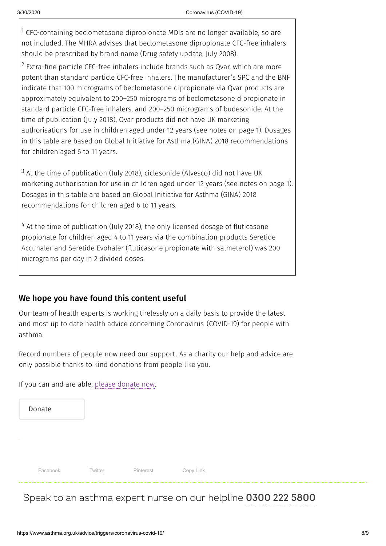$1$  CFC-containing beclometasone dipropionate MDIs are no longer available, so are not included. The MHRA advises that beclometasone dipropionate CFC-free inhalers should be prescribed by brand name (Drug safety update, July 2008).

 $2$  Extra-fine particle CFC-free inhalers include brands such as Qvar, which are more potent than standard particle CFC-free inhalers. The manufacturer's SPC and the BNF indicate that 100 micrograms of beclometasone dipropionate via Qvar products are approximately equivalent to 200–250 micrograms of beclometasone dipropionate in standard particle CFC-free inhalers, and 200–250 micrograms of budesonide. At the time of publication (July 2018), Qvar products did not have UK marketing authorisations for use in children aged under 12 years (see notes on page 1). Dosages in this table are based on Global Initiative for Asthma (GINA) 2018 recommendations for children aged 6 to 11 years.

 $3$  At the time of publication (July 2018), ciclesonide (Alvesco) did not have UK marketing authorisation for use in children aged under 12 years (see notes on page 1). Dosages in this table are based on Global Initiative for Asthma (GINA) 2018 recommendations for children aged 6 to 11 years.

 $4$  At the time of publication (July 2018), the only licensed dosage of fluticasone propionate for children aged 4 to 11 years via the combination products Seretide Accuhaler and Seretide Evohaler (fluticasone propionate with salmeterol) was 200 micrograms per day in 2 divided doses.

## We hope you have found this content useful

Our team of health experts is working tirelessly on a daily basis to provide the latest and most up to date health advice concerning Coronavirus (COVID-19) for people with asthma.

Record numbers of people now need our support. As a charity our help and advice are only possible thanks to kind donations from people like you.

If you can and are able, please [donate](https://action.asthma.org.uk/page/57925/donate/1?ea.tracking.id=Wiki) now.

|    | Donate   |         |           |           |  |
|----|----------|---------|-----------|-----------|--|
| ж. |          |         |           |           |  |
|    |          |         |           |           |  |
|    | Facebook | Twitter | Pinterest | Copy Link |  |

# Speak to an asthma expert nurse on our helpline **[0300](tel:0300 222 5800) 222 5800**